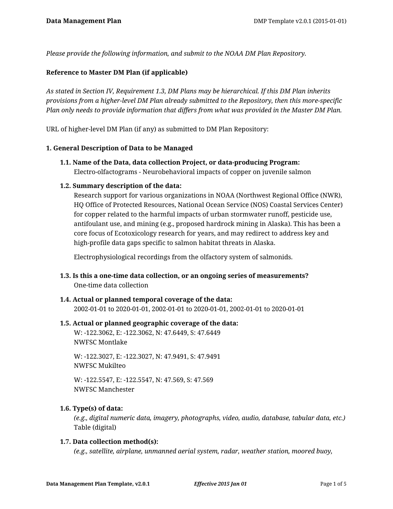*Please provide the following information, and submit to the NOAA DM Plan Repository.*

## **Reference to Master DM Plan (if applicable)**

*As stated in Section IV, Requirement 1.3, DM Plans may be hierarchical. If this DM Plan inherits provisions from a higher-level DM Plan already submitted to the Repository, then this more-specific Plan only needs to provide information that differs from what was provided in the Master DM Plan.*

URL of higher-level DM Plan (if any) as submitted to DM Plan Repository:

#### **1. General Description of Data to be Managed**

**1.1. Name of the Data, data collection Project, or data-producing Program:** Electro-olfactograms - Neurobehavioral impacts of copper on juvenile salmon

#### **1.2. Summary description of the data:**

Research support for various organizations in NOAA (Northwest Regional Office (NWR), HQ Office of Protected Resources, National Ocean Service (NOS) Coastal Services Center) for copper related to the harmful impacts of urban stormwater runoff, pesticide use, antifoulant use, and mining (e.g., proposed hardrock mining in Alaska). This has been a core focus of Ecotoxicology research for years, and may redirect to address key and high-profile data gaps specific to salmon habitat threats in Alaska.

Electrophysiological recordings from the olfactory system of salmonids.

**1.3. Is this a one-time data collection, or an ongoing series of measurements?** One-time data collection

#### **1.4. Actual or planned temporal coverage of the data:** 2002-01-01 to 2020-01-01, 2002-01-01 to 2020-01-01, 2002-01-01 to 2020-01-01

#### **1.5. Actual or planned geographic coverage of the data:**

W: -122.3062, E: -122.3062, N: 47.6449, S: 47.6449 NWFSC Montlake

W: -122.3027, E: -122.3027, N: 47.9491, S: 47.9491 NWFSC Mukilteo

W: -122.5547, E: -122.5547, N: 47.569, S: 47.569 NWFSC Manchester

## **1.6. Type(s) of data:**

*(e.g., digital numeric data, imagery, photographs, video, audio, database, tabular data, etc.)* Table (digital)

#### **1.7. Data collection method(s):**

*(e.g., satellite, airplane, unmanned aerial system, radar, weather station, moored buoy,*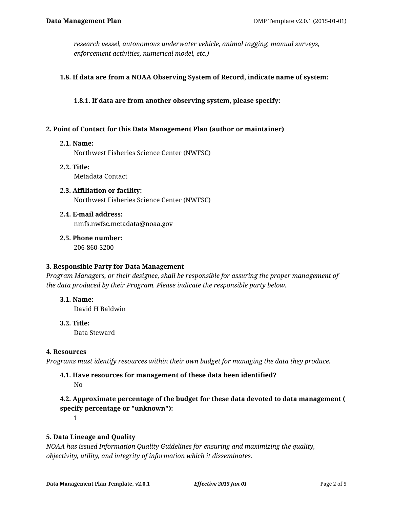*research vessel, autonomous underwater vehicle, animal tagging, manual surveys, enforcement activities, numerical model, etc.)*

#### **1.8. If data are from a NOAA Observing System of Record, indicate name of system:**

**1.8.1. If data are from another observing system, please specify:**

#### **2. Point of Contact for this Data Management Plan (author or maintainer)**

#### **2.1. Name:**

Northwest Fisheries Science Center (NWFSC)

- **2.2. Title:** Metadata Contact
- **2.3. Affiliation or facility:** Northwest Fisheries Science Center (NWFSC)
- **2.4. E-mail address:** nmfs.nwfsc.metadata@noaa.gov
- **2.5. Phone number:** 206-860-3200

#### **3. Responsible Party for Data Management**

*Program Managers, or their designee, shall be responsible for assuring the proper management of the data produced by their Program. Please indicate the responsible party below.*

**3.1. Name:**

David H Baldwin

**3.2. Title:**

Data Steward

#### **4. Resources**

*Programs must identify resources within their own budget for managing the data they produce.*

# **4.1. Have resources for management of these data been identified?**

No

# **4.2. Approximate percentage of the budget for these data devoted to data management ( specify percentage or "unknown"):**

1

## **5. Data Lineage and Quality**

*NOAA has issued Information Quality Guidelines for ensuring and maximizing the quality, objectivity, utility, and integrity of information which it disseminates.*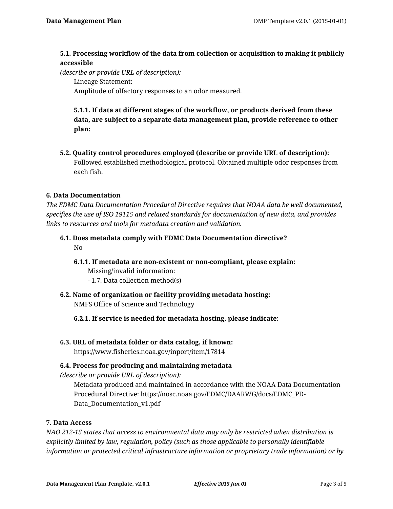## **5.1. Processing workflow of the data from collection or acquisition to making it publicly accessible**

*(describe or provide URL of description):*

Lineage Statement:

Amplitude of olfactory responses to an odor measured.

**5.1.1. If data at different stages of the workflow, or products derived from these data, are subject to a separate data management plan, provide reference to other plan:**

**5.2. Quality control procedures employed (describe or provide URL of description):** Followed established methodological protocol. Obtained multiple odor responses from each fish.

## **6. Data Documentation**

*The EDMC Data Documentation Procedural Directive requires that NOAA data be well documented, specifies the use of ISO 19115 and related standards for documentation of new data, and provides links to resources and tools for metadata creation and validation.*

- **6.1. Does metadata comply with EDMC Data Documentation directive?** No
	- **6.1.1. If metadata are non-existent or non-compliant, please explain:** Missing/invalid information:
		- 1.7. Data collection method(s)
- **6.2. Name of organization or facility providing metadata hosting:** NMFS Office of Science and Technology
	- **6.2.1. If service is needed for metadata hosting, please indicate:**

# **6.3. URL of metadata folder or data catalog, if known:**

https://www.fisheries.noaa.gov/inport/item/17814

# **6.4. Process for producing and maintaining metadata**

*(describe or provide URL of description):*

Metadata produced and maintained in accordance with the NOAA Data Documentation Procedural Directive: https://nosc.noaa.gov/EDMC/DAARWG/docs/EDMC\_PD-Data Documentation v1.pdf

## **7. Data Access**

*NAO 212-15 states that access to environmental data may only be restricted when distribution is explicitly limited by law, regulation, policy (such as those applicable to personally identifiable information or protected critical infrastructure information or proprietary trade information) or by*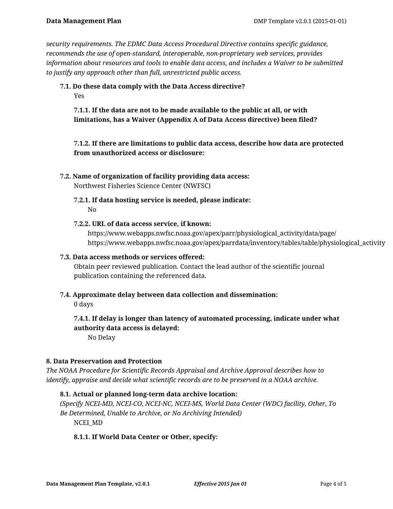*security requirements. The EDMC Data Access Procedural Directive contains specific guidance, recommends the use of open-standard, interoperable, non-proprietary web services, provides information about resources and tools to enable data access, and includes a Waiver to be submitted to justify any approach other than full, unrestricted public access.*

# **7.1. Do these data comply with the Data Access directive?**

Yes

**7.1.1. If the data are not to be made available to the public at all, or with limitations, has a Waiver (Appendix A of Data Access directive) been filed?**

**7.1.2. If there are limitations to public data access, describe how data are protected from unauthorized access or disclosure:**

**7.2. Name of organization of facility providing data access:**

Northwest Fisheries Science Center (NWFSC)

- **7.2.1. If data hosting service is needed, please indicate:** No
- **7.2.2. URL of data access service, if known:**

https://www.webapps.nwfsc.noaa.gov/apex/parr/physiological\_activity/data/page/ https://www.webapps.nwfsc.noaa.gov/apex/parrdata/inventory/tables/table/physiological\_activity

## **7.3. Data access methods or services offered:**

Obtain peer reviewed publication. Contact the lead author of the scientific journal publication containing the referenced data.

**7.4. Approximate delay between data collection and dissemination:**

0 days

**7.4.1. If delay is longer than latency of automated processing, indicate under what authority data access is delayed:**

No Delay

## **8. Data Preservation and Protection**

*The NOAA Procedure for Scientific Records Appraisal and Archive Approval describes how to identify, appraise and decide what scientific records are to be preserved in a NOAA archive.*

# **8.1. Actual or planned long-term data archive location:**

*(Specify NCEI-MD, NCEI-CO, NCEI-NC, NCEI-MS, World Data Center (WDC) facility, Other, To Be Determined, Unable to Archive, or No Archiving Intended)* NCEI\_MD

# **8.1.1. If World Data Center or Other, specify:**